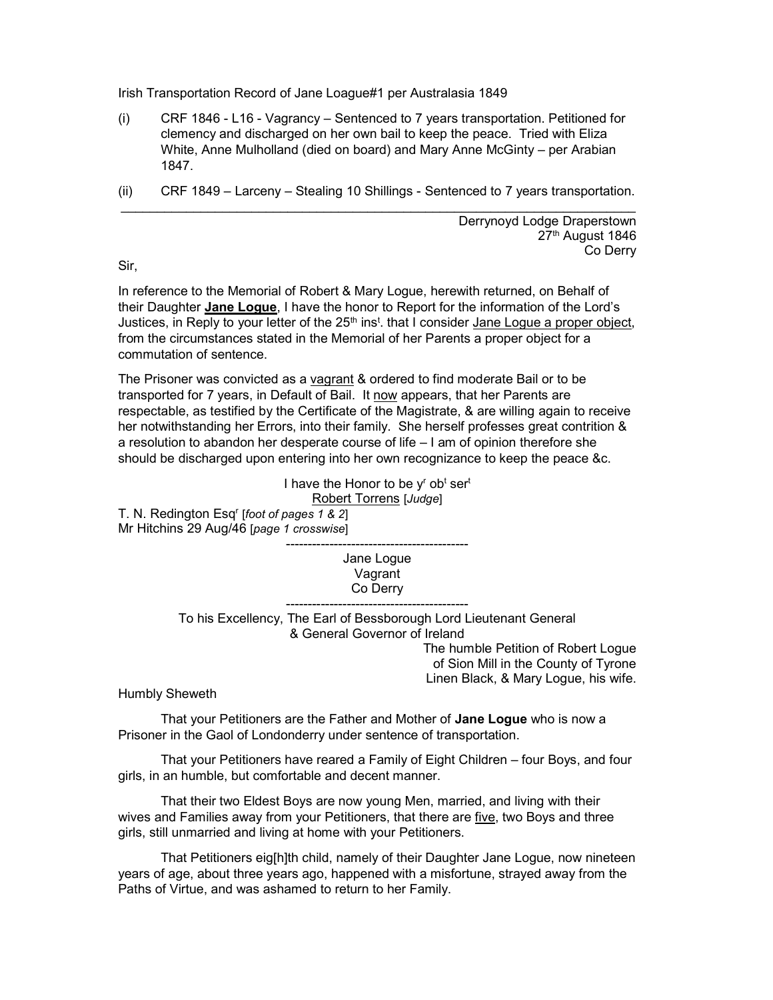Irish Transportation Record of Jane Loague#1 per Australasia 1849

- (i) CRF 1846 L16 Vagrancy Sentenced to 7 years transportation. Petitioned for clemency and discharged on her own bail to keep the peace. Tried with Eliza White, Anne Mulholland (died on board) and Mary Anne McGinty – per Arabian 1847.
- (ii) CRF 1849 Larceny Stealing 10 Shillings Sentenced to 7 years transportation. \_\_\_\_\_\_\_\_\_\_\_\_\_\_\_\_\_\_\_\_\_\_\_\_\_\_\_\_\_\_\_\_\_\_\_\_\_\_\_\_\_\_\_\_\_\_\_\_\_\_\_\_\_\_\_\_\_\_\_\_\_\_\_\_\_\_\_\_\_\_\_

Derrynoyd Lodge Draperstown 27<sup>th</sup> August 1846 Co Derry

Sir,

In reference to the Memorial of Robert & Mary Logue, herewith returned, on Behalf of their Daughter Jane Logue, I have the honor to Report for the information of the Lord's Justices, in Reply to your letter of the 25<sup>th</sup> ins<sup>t</sup>. that I consider <u>Jane Logue a proper object,</u> from the circumstances stated in the Memorial of her Parents a proper object for a commutation of sentence.

The Prisoner was convicted as a vagrant & ordered to find moderate Bail or to be transported for 7 years, in Default of Bail. It now appears, that her Parents are respectable, as testified by the Certificate of the Magistrate, & are willing again to receive her notwithstanding her Errors, into their family. She herself professes great contrition & a resolution to abandon her desperate course of life – I am of opinion therefore she should be discharged upon entering into her own recognizance to keep the peace &c.

> I have the Honor to be y<sup>r</sup> ob<sup>t</sup> ser<sup>t</sup> Robert Torrens [Judge]

T. N. Redington Esq<sup>r</sup> [foot of pages 1 & 2] Mr Hitchins 29 Aug/46 [page 1 crosswise]

> ------------------------------------------ Jane Logue Vagrant Co Derry

------------------------------------------ To his Excellency, The Earl of Bessborough Lord Lieutenant General & General Governor of Ireland

> The humble Petition of Robert Logue of Sion Mill in the County of Tyrone Linen Black, & Mary Logue, his wife.

Humbly Sheweth

 That your Petitioners are the Father and Mother of Jane Logue who is now a Prisoner in the Gaol of Londonderry under sentence of transportation.

 That your Petitioners have reared a Family of Eight Children – four Boys, and four girls, in an humble, but comfortable and decent manner.

 That their two Eldest Boys are now young Men, married, and living with their wives and Families away from your Petitioners, that there are five, two Boys and three girls, still unmarried and living at home with your Petitioners.

 That Petitioners eig[h]th child, namely of their Daughter Jane Logue, now nineteen years of age, about three years ago, happened with a misfortune, strayed away from the Paths of Virtue, and was ashamed to return to her Family.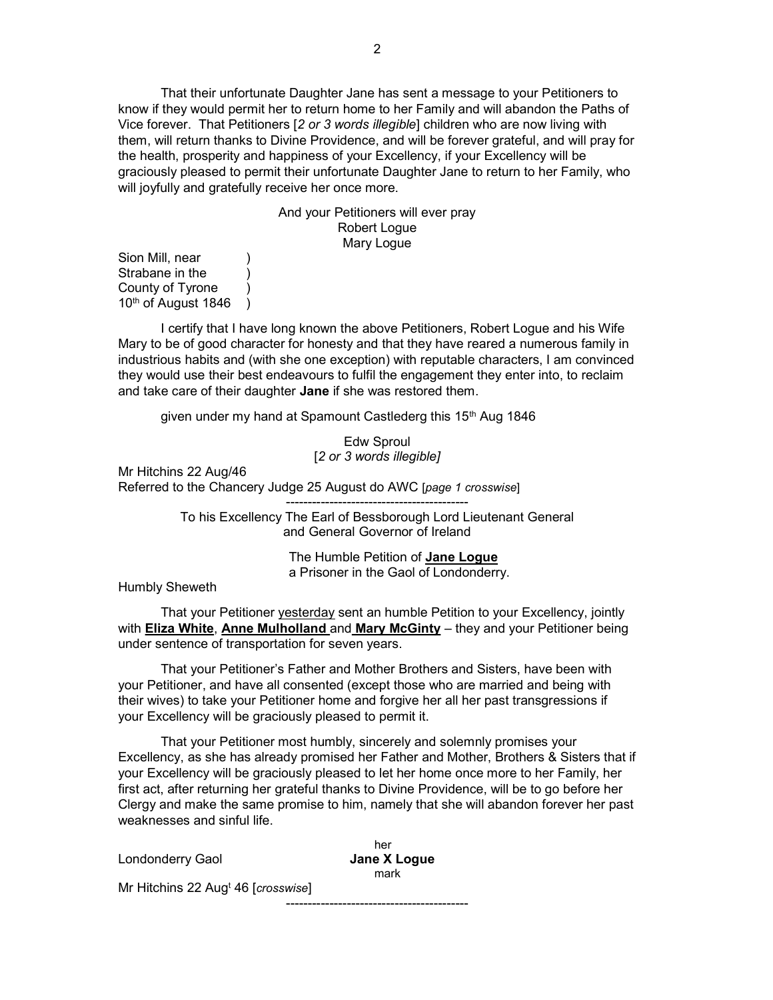That their unfortunate Daughter Jane has sent a message to your Petitioners to know if they would permit her to return home to her Family and will abandon the Paths of Vice forever. That Petitioners [2 or 3 words illegible] children who are now living with them, will return thanks to Divine Providence, and will be forever grateful, and will pray for the health, prosperity and happiness of your Excellency, if your Excellency will be graciously pleased to permit their unfortunate Daughter Jane to return to her Family, who will joyfully and gratefully receive her once more.

> And your Petitioners will ever pray Robert Logue Mary Logue

Sion Mill, near Strabane in the (1) County of Tyrone )  $10<sup>th</sup>$  of August 1846 )

 I certify that I have long known the above Petitioners, Robert Logue and his Wife Mary to be of good character for honesty and that they have reared a numerous family in industrious habits and (with she one exception) with reputable characters, I am convinced they would use their best endeavours to fulfil the engagement they enter into, to reclaim and take care of their daughter Jane if she was restored them.

given under my hand at Spamount Castlederg this 15<sup>th</sup> Aug 1846

Edw Sproul [2 or 3 words illegible]

Mr Hitchins 22 Aug/46 Referred to the Chancery Judge 25 August do AWC [page 1 crosswise]

> ------------------------------------------ To his Excellency The Earl of Bessborough Lord Lieutenant General and General Governor of Ireland

> > The Humble Petition of **Jane Loque** a Prisoner in the Gaol of Londonderry.

Humbly Sheweth

 That your Petitioner yesterday sent an humble Petition to your Excellency, jointly with **Eliza White, Anne Mulholland** and **Mary McGinty** – they and your Petitioner being under sentence of transportation for seven years.

 That your Petitioner's Father and Mother Brothers and Sisters, have been with your Petitioner, and have all consented (except those who are married and being with their wives) to take your Petitioner home and forgive her all her past transgressions if your Excellency will be graciously pleased to permit it.

 That your Petitioner most humbly, sincerely and solemnly promises your Excellency, as she has already promised her Father and Mother, Brothers & Sisters that if your Excellency will be graciously pleased to let her home once more to her Family, her first act, after returning her grateful thanks to Divine Providence, will be to go before her Clergy and make the same promise to him, namely that she will abandon forever her past weaknesses and sinful life.

her and the control of the control of the control of the control of the control of the control of the control o Londonderry Gaol **Jane X Loque** mark and the contract of the mark Mr Hitchins 22 Aug<sup>t</sup> 46 [*crosswise*] ------------------------------------------